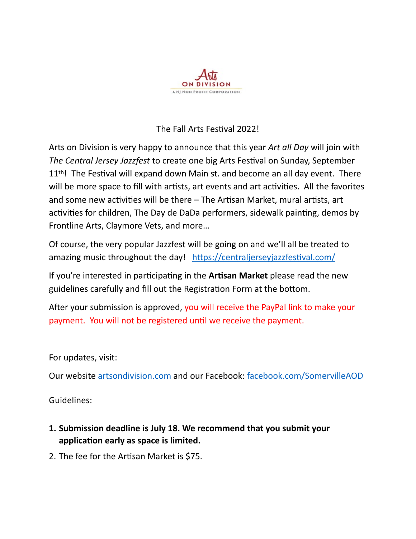

## The Fall Arts Festival 2022!

Arts on Division is very happy to announce that this year *Art all Day* will join with *The Central Jersey Jazzfest* to create one big Arts Festival on Sunday, September 11<sup>th</sup>! The Festival will expand down Main st. and become an all day event. There will be more space to fill with artists, art events and art activities. All the favorites and some new activities will be there – The Artisan Market, mural artists, art activities for children, The Day de DaDa performers, sidewalk painting, demos by Frontline Arts, Claymore Vets, and more…

Of course, the very popular Jazzfest will be going on and we'll all be treated to amazing music throughout the day! <https://centraljerseyjazzfestival.com/>

If you're interested in participating in the **Artisan Market** please read the new guidelines carefully and fill out the Registration Form at the bottom.

After your submission is approved, you will receive the PayPal link to make your payment. You will not be registered until we receive the payment.

## For updates, visit:

Our website [artsondivision.com](http://www.artsondivision.com) and our Facebook: [facebook.com/SomervilleAOD](https://www.facebook.com/SomervilleAOD/) 

Guidelines:

- **1. Submission deadline is July 18. We recommend that you submit your application early as space is limited.**
- 2. The fee for the Artisan Market is \$75.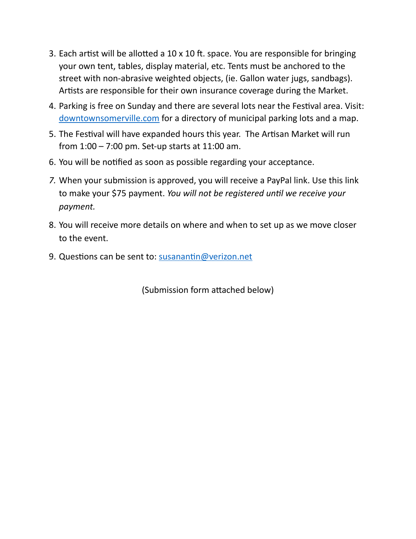- 3. Each artist will be allotted a 10 x 10 ft. space. You are responsible for bringing your own tent, tables, display material, etc. Tents must be anchored to the street with non-abrasive weighted objects, (ie. Gallon water jugs, sandbags). Artists are responsible for their own insurance coverage during the Market.
- 4. Parking is free on Sunday and there are several lots near the Festival area. Visit: [downtownsomerville.com](http://www.downtownsomerville.com) for a directory of municipal parking lots and a map.
- 5. The Festival will have expanded hours this year. The Artisan Market will run from 1:00 – 7:00 pm. Set-up starts at 11:00 am.
- 6. You will be notified as soon as possible regarding your acceptance.
- *7.* When your submission is approved, you will receive a PayPal link. Use this link to make your \$75 payment. *You will not be registered until we receive your payment.*
- 8. You will receive more details on where and when to set up as we move closer to the event.
- 9. Questions can be sent to: [susanantin@verizon.net](mailto:susanantin@verizon.net?subject=Question%20about%20Artisan%20Market)

(Submission form attached below)